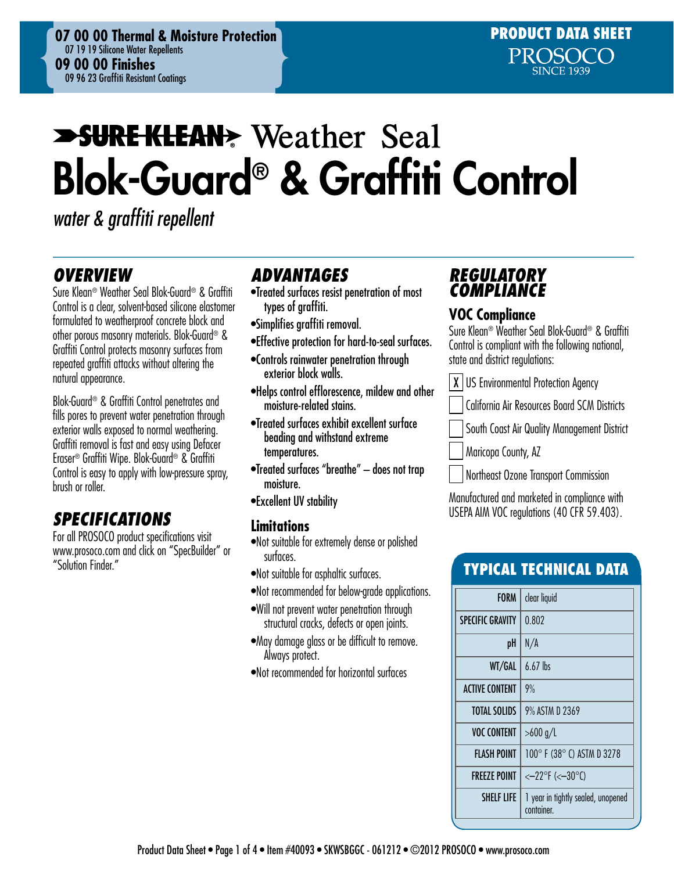# **SURE KLEAN:** Weather Seal Blok-Guard® & Graffiti Control

*water & graffiti repellent*

# *OVERVIEW*

Sure Klean® Weather Seal Blok-Guard® & Graffiti Control is a clear, solvent-based silicone elastomer formulated to weatherproof concrete block and other porous masonry materials. Blok-Guard® & Graffiti Control protects masonry surfaces from repeated graffiti attacks without altering the natural appearance.

Blok-Guard® & Graffiti Control penetrates and fills pores to prevent water penetration through exterior walls exposed to normal weathering. Graffiti removal is fast and easy using Defacer Eraser® Graffiti Wipe. Blok-Guard® & Graffiti Control is easy to apply with low-pressure spray. brush or roller.

# *SPECIFICATIONS*

For all PROSOCO product specifications visit www.prosoco.com and click on "SpecBuilder" or "Solution Finder."

# *ADVANTAGES*

- •Treated surfaces resist penetration of most types of graffiti.
- •Simplifies graffiti removal.
- •Effective protection for hard-to-seal surfaces.
- •Controls rainwater penetration through exterior block walls.
- •Helps control efflorescence, mildew and other moisture-related stains.
- •Treated surfaces exhibit excellent surface beading and withstand extreme temperatures.
- •Treated surfaces "breathe" does not trap moisture.
- •Excellent UV stability

#### **Limitations**

- •Not suitable for extremely dense or polished surfaces.
- •Not suitable for asphaltic surfaces.
- •Not recommended for below-grade applications.
- •Will not prevent water penetration through structural cracks, defects or open joints.
- •May damage glass or be difficult to remove. Always protect.
- •Not recommended for horizontal surfaces

# *REGULATORY COMPLIANCE*

### **VOC Compliance**

Sure Klean® Weather Seal Blok-Guard® & Graffiti Control is compliant with the following national, state and district regulations:

| X | US Environmental Protection Agency

- California Air Resources Board SCM Districts
- South Coast Air Quality Management District
- Maricopa County, AZ
- Northeast Ozone Transport Commission

Manufactured and marketed in compliance with USEPA AIM VOC regulations (40 CFR 59.403).

# Typical technical data

| <b>FORM</b>             | clear liquid                                     |  |  |
|-------------------------|--------------------------------------------------|--|--|
| <b>SPECIFIC GRAVITY</b> | 0.802                                            |  |  |
| pH                      | N/A                                              |  |  |
| WT/GAL                  | $6.67$ lbs                                       |  |  |
| <b>ACTIVE CONTENT</b>   | 9%                                               |  |  |
| <b>TOTAL SOLIDS</b>     | 9% ASTM D 2369                                   |  |  |
| <b>VOC CONTENT</b>      | >600 g/L                                         |  |  |
| FLASH POINT             | 100° F (38° C) ASTM D 3278                       |  |  |
| <b>FREEZE POINT</b>     | $<-22^{\circ}F$ (< $-30^{\circ}C$ )              |  |  |
| SHELF LIFE              | I year in tightly sealed, unopened<br>container. |  |  |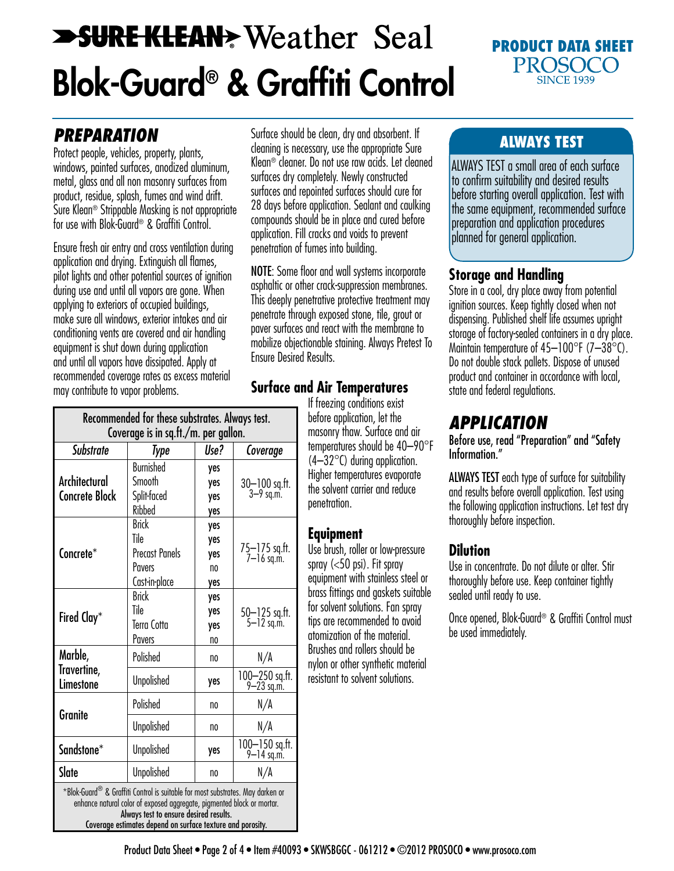# **SURE KLEAN** Weather Seal Blok-Guard® & Graffiti Control

#### PRODUCT DATA SHEET PROSOCO **SINCE 1939**

# *PREPARATION*

Protect people, vehicles, property, plants, windows, painted surfaces, anodized aluminum, metal, glass and all non masonry surfaces from product, residue, splash, fumes and wind drift. Sure Klean® Strippable Masking is not appropriate for use with Blok-Guard® & Graffiti Control.

Ensure fresh air entry and cross ventilation during application and drying. Extinguish all flames, pilot lights and other potential sources of ignition during use and until all vapors are gone. When applying to exteriors of occupied buildings, make sure all windows, exterior intakes and air conditioning vents are covered and air handling equipment is shut down during application and until all vapors have dissipated. Apply at recommended coverage rates as excess material may contribute to vapor problems.

Surface should be clean, dry and absorbent. If cleaning is necessary, use the appropriate Sure Klean® cleaner. Do not use raw acids. Let cleaned surfaces dry completely. Newly constructed surfaces and repointed surfaces should cure for 28 days before application. Sealant and caulking compounds should be in place and cured before application. Fill cracks and voids to prevent penetration of fumes into building.

NOTE: Some floor and wall systems incorporate asphaltic or other crack-suppression membranes. This deeply penetrative protective treatment may penetrate through exposed stone, tile, grout or paver surfaces and react with the membrane to mobilize objectionable staining. Always Pretest To Ensure Desired Results.

# **Surface and Air Temperatures**

If freezing conditions exist before application, let the masonry thaw. Surface and air temperatures should be 40–90°F  $(4-32^{\circ}C)$  during application. Higher temperatures evaporate the solvent carrier and reduce penetration.

## **Equipment**

Use brush, roller or low-pressure spray (<50 psi). Fit spray equipment with stainless steel or brass fittings and gaskets suitable for solvent solutions. Fan spray tips are recommended to avoid atomization of the material. Brushes and rollers should be nylon or other synthetic material resistant to solvent solutions.

## ALWAYS TEST

ALWAYS TEST a small area of each surface to confirm suitability and desired results before starting overall application. Test with the same equipment, recommended surface preparation and application procedures planned for general application.

### **Storage and Handling**

Store in a cool, dry place away from potential ignition sources. Keep tightly closed when not dispensing. Published shelf life assumes upright storage of factory-sealed containers in a dry place. Maintain temperature of  $45-100^{\circ}$ F (7-38 $^{\circ}$ C). Do not double stack pallets. Dispose of unused product and container in accordance with local, state and federal regulations.

# *APPLICATION*

Before use, read "Preparation" and "Safety Information."

ALWAYS TEST each type of surface for suitability and results before overall application. Test using the following application instructions. Let test dry thoroughly before inspection.

## **Dilution**

Use in concentrate. Do not dilute or alter. Stir thoroughly before use. Keep container tightly sealed until ready to use.

Once opened, Blok-Guard® & Graffiti Control must be used immediately.

| Kecommended for these substrates. Always test.<br>Coverage is in sq.ft./m. per gallon.                                                                                                             |                                                                                 |                                |                              |
|----------------------------------------------------------------------------------------------------------------------------------------------------------------------------------------------------|---------------------------------------------------------------------------------|--------------------------------|------------------------------|
| Substrate                                                                                                                                                                                          | Type                                                                            | Use?                           | Coverage                     |
| Architectural<br><b>Concrete Block</b>                                                                                                                                                             | <b>Burnished</b><br>Smooth<br>Split-faced<br>Ribbed                             | yes<br>yes<br>yes<br>yes       | 30-100 sq.ft.<br>3-9 sq.m.   |
| Concrete*                                                                                                                                                                                          | <b>Brick</b><br>Tile<br><b>Precast Panels</b><br><b>Pavers</b><br>Cast-in-place | yes<br>yes<br>yes<br>no<br>yes | 75—175 sq.ft.<br>7—16 sq.m.  |
| Fired Clay*                                                                                                                                                                                        | <b>Brick</b><br>Tile<br>Terra Cotta<br><b>Pavers</b>                            | yes<br>yes<br>yes<br>no        | 50-125 sq.ft.<br>5-12 sq.m.  |
| Marble,<br>Travertine,<br>Limestone                                                                                                                                                                | Polished                                                                        | no                             | N/A                          |
|                                                                                                                                                                                                    | <b>Unpolished</b>                                                               | yes                            | 100-250 sq.ft.<br>9-23 sq.m. |
| Granite                                                                                                                                                                                            | Polished                                                                        | no                             | N/A                          |
|                                                                                                                                                                                                    | <b>Unpolished</b>                                                               | no                             | N/A                          |
| Sandstone*                                                                                                                                                                                         | <b>Unpolished</b>                                                               | yes                            | 100-150 sq.ft.<br>9-14 sq.m. |
| Slate                                                                                                                                                                                              | <b>Unpolished</b>                                                               | no                             | N/A                          |
| *Blok-Guard® & Graffiti Control is suitable for most substrates. May darken or<br>enhance natural color of exposed aggregate, pigmented block or mortar.<br>Always test to ensure desired results. |                                                                                 |                                |                              |

Recommended for these substrates. Always test.

Coverage estimates depend on surface texture and porosity.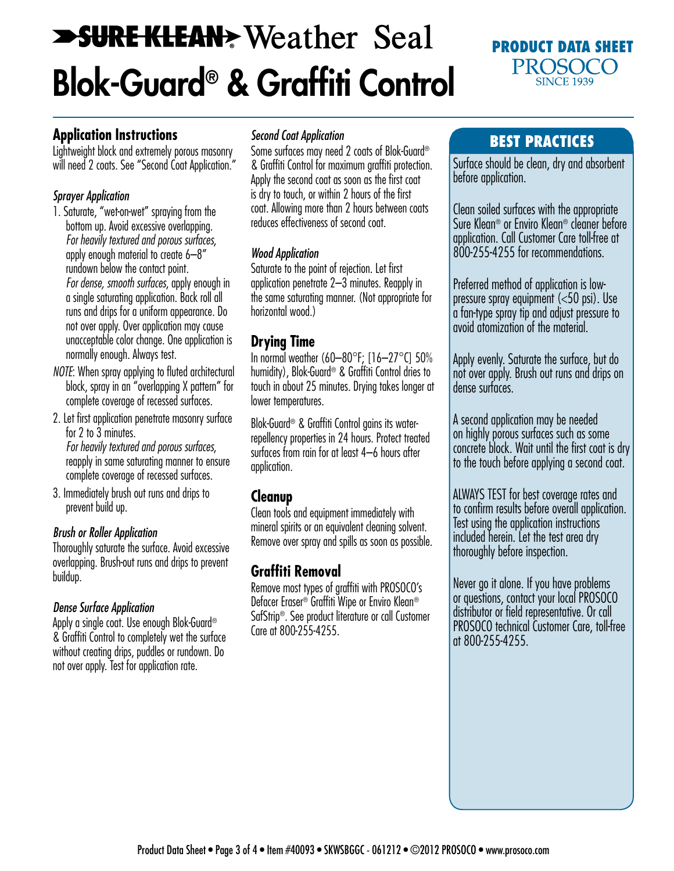# **SURE KLEAN** Weather Seal Blok-Guard® & Graffiti Control

### PRODUCT DATA SHEET **PROSOCO SINCE 1939**

## **Application Instructions**

Lightweight block and extremely porous masonry will need 2 coats. See "Second Coat Application."

#### *Sprayer Application*

- 1. Saturate, "wet-on-wet" spraying from the bottom up. Avoid excessive overlapping. *For heavily textured and porous surfaces*, apply enough material to create 6–8" rundown below the contact point. *For dense, smooth surfaces*, apply enough in a single saturating application. Back roll all runs and drips for a uniform appearance. Do not over apply. Over application may cause unacceptable color change. One application is normally enough. Always test.
- *NOTE*: When spray applying to fluted architectural block, spray in an "overlapping X pattern" for complete coverage of recessed surfaces.
- 2. Let first application penetrate masonry surface for 2 to 3 minutes. *For heavily textured and porous surfaces*, reapply in same saturating manner to ensure complete coverage of recessed surfaces.
- 3. Immediately brush out runs and drips to prevent build up.

#### *Brush or Roller Application*

Thoroughly saturate the surface. Avoid excessive overlapping. Brush-out runs and drips to prevent buildup.

#### *Dense Surface Application*

Apply a single coat. Use enough Blok-Guard® & Graffiti Control to completely wet the surface without creating drips, puddles or rundown. Do not over apply. Test for application rate.

#### *Second Coat Application*

Some surfaces may need 2 coats of Blok-Guard® & Graffiti Control for maximum graffiti protection. Apply the second coat as soon as the first coat is dry to touch, or within 2 hours of the first coat. Allowing more than 2 hours between coats reduces effectiveness of second coat.

#### *Wood Application*

Saturate to the point of rejection. Let first application penetrate 2–3 minutes. Reapply in the same saturating manner. (Not appropriate for horizontal wood.)

### **Drying Time**

In normal weather (60–80°F; [16–27°C] 50% humidity), Blok-Guard® & Graffiti Control dries to touch in about 25 minutes. Drying takes longer at lower temperatures.

Blok-Guard® & Graffiti Control gains its waterrepellency properties in 24 hours. Protect treated surfaces from rain for at least 4–6 hours after application.

## **Cleanup**

Clean tools and equipment immediately with mineral spirits or an equivalent cleaning solvent. Remove over spray and spills as soon as possible.

# **Graffiti Removal**

Remove most types of graffiti with PROSOCO's Defacer Eraser® Graffiti Wipe or Enviro Klean® SafStrip®. See product literature or call Customer Care at 800-255-4255.

## Best practices

Surface should be clean, dry and absorbent before application.

Clean soiled surfaces with the appropriate Sure Klean® or Enviro Klean® cleaner before application. Call Customer Care toll-free at 800-255-4255 for recommendations.

Preferred method of application is lowpressure spray equipment (<50 psi). Use a fan-type spray tip and adjust pressure to avoid atomization of the material.

Apply evenly. Saturate the surface, but do not over apply. Brush out runs and drips on dense surfaces.

A second application may be needed on highly porous surfaces such as some concrete block. Wait until the first coat is dry to the touch before applying a second coat.

ALWAYS TEST for best coverage rates and to confirm results before overall application. Test using the application instructions included herein. Let the test area dry thoroughly before inspection.

Never go it alone. If you have problems or questions, contact your local PROSOCO distributor or field representative. Or call PROSOCO technical Customer Care, toll-free at 800-255-4255.